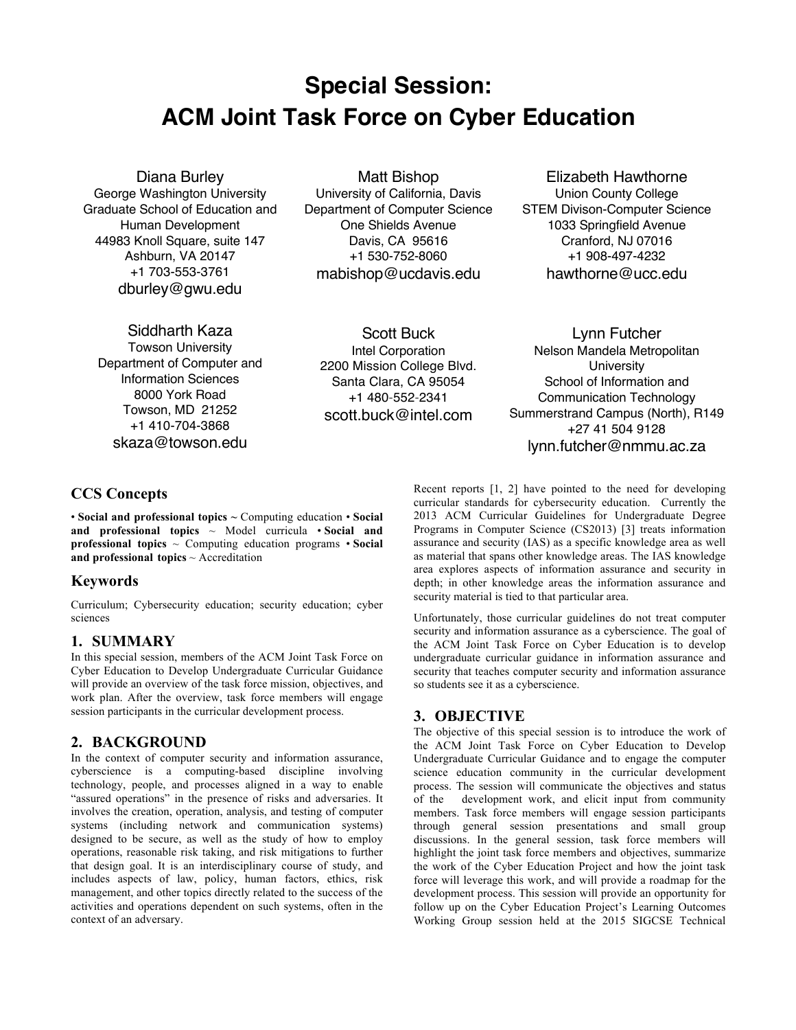# **Special Session: ACM Joint Task Force on Cyber Education**

Diana Burley

George Washington University Graduate School of Education and Human Development 44983 Knoll Square, suite 147 Ashburn, VA 20147 +1 703-553-3761 dburley@gwu.edu

Matt Bishop

University of California, Davis Department of Computer Science One Shields Avenue Davis, CA 95616 +1 530-752-8060 mabishop@ucdavis.edu

Elizabeth Hawthorne Union County College

STEM Divison-Computer Science 1033 Springfield Avenue Cranford, NJ 07016 +1 908-497-4232 hawthorne@ucc.edu

Siddharth Kaza

Towson University Department of Computer and Information Sciences 8000 York Road Towson, MD 21252 +1 410-704-3868 skaza@towson.edu

Scott Buck Intel Corporation 2200 Mission College Blvd. Santa Clara, CA 95054 +1 480-552-2341 scott.buck@intel.com

Lynn Futcher Nelson Mandela Metropolitan **University** School of Information and Communication Technology Summerstrand Campus (North), R149 +27 41 504 9128 lynn.futcher@nmmu.ac.za

## **CCS Concepts**

• **Social and professional topics ~** Computing education • **Social and professional topics** ~ Model curricula • **Social and professional topics** ~ Computing education programs • **Social and professional topics** ~ Accreditation

## **Keywords**

Curriculum; Cybersecurity education; security education; cyber sciences

## **1. SUMMARY**

In this special session, members of the ACM Joint Task Force on Cyber Education to Develop Undergraduate Curricular Guidance will provide an overview of the task force mission, objectives, and work plan. After the overview, task force members will engage session participants in the curricular development process.

## **2. BACKGROUND**

In the context of computer security and information assurance, cyberscience is a computing-based discipline involving technology, people, and processes aligned in a way to enable "assured operations" in the presence of risks and adversaries. It involves the creation, operation, analysis, and testing of computer systems (including network and communication systems) designed to be secure, as well as the study of how to employ operations, reasonable risk taking, and risk mitigations to further that design goal. It is an interdisciplinary course of study, and includes aspects of law, policy, human factors, ethics, risk management, and other topics directly related to the success of the activities and operations dependent on such systems, often in the context of an adversary.

Recent reports [1, 2] have pointed to the need for developing curricular standards for cybersecurity education. Currently the 2013 ACM Curricular Guidelines for Undergraduate Degree Programs in Computer Science (CS2013) [3] treats information assurance and security (IAS) as a specific knowledge area as well as material that spans other knowledge areas. The IAS knowledge area explores aspects of information assurance and security in depth; in other knowledge areas the information assurance and security material is tied to that particular area.

Unfortunately, those curricular guidelines do not treat computer security and information assurance as a cyberscience. The goal of the ACM Joint Task Force on Cyber Education is to develop undergraduate curricular guidance in information assurance and security that teaches computer security and information assurance so students see it as a cyberscience.

## **3. OBJECTIVE**

The objective of this special session is to introduce the work of the ACM Joint Task Force on Cyber Education to Develop Undergraduate Curricular Guidance and to engage the computer science education community in the curricular development process. The session will communicate the objectives and status of the development work, and elicit input from community members. Task force members will engage session participants through general session presentations and small group discussions. In the general session, task force members will highlight the joint task force members and objectives, summarize the work of the Cyber Education Project and how the joint task force will leverage this work, and will provide a roadmap for the development process. This session will provide an opportunity for follow up on the Cyber Education Project's Learning Outcomes Working Group session held at the 2015 SIGCSE Technical